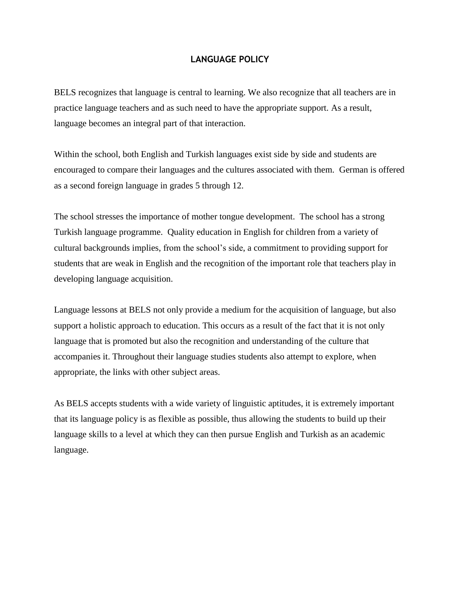# **LANGUAGE POLICY**

BELS recognizes that language is central to learning. We also recognize that all teachers are in practice language teachers and as such need to have the appropriate support. As a result, language becomes an integral part of that interaction.

Within the school, both English and Turkish languages exist side by side and students are encouraged to compare their languages and the cultures associated with them. German is offered as a second foreign language in grades 5 through 12.

The school stresses the importance of mother tongue development. The school has a strong Turkish language programme. Quality education in English for children from a variety of cultural backgrounds implies, from the school's side, a commitment to providing support for students that are weak in English and the recognition of the important role that teachers play in developing language acquisition.

Language lessons at BELS not only provide a medium for the acquisition of language, but also support a holistic approach to education. This occurs as a result of the fact that it is not only language that is promoted but also the recognition and understanding of the culture that accompanies it. Throughout their language studies students also attempt to explore, when appropriate, the links with other subject areas.

As BELS accepts students with a wide variety of linguistic aptitudes, it is extremely important that its language policy is as flexible as possible, thus allowing the students to build up their language skills to a level at which they can then pursue English and Turkish as an academic language.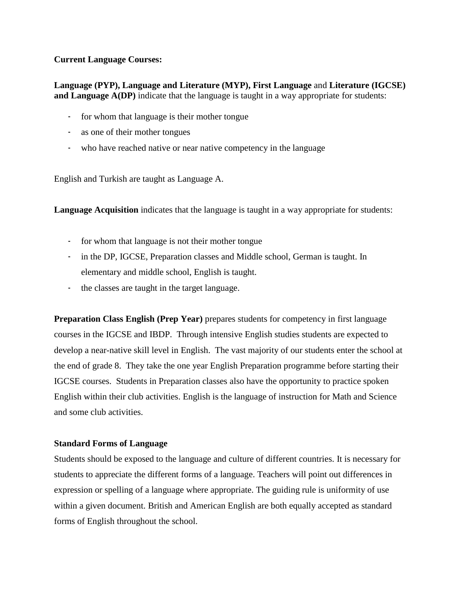## **Current Language Courses:**

**Language (PYP), Language and Literature (MYP), First Language** and **Literature (IGCSE) and Language A(DP)** indicate that the language is taught in a way appropriate for students:

- for whom that language is their mother tongue
- as one of their mother tongues
- who have reached native or near native competency in the language

English and Turkish are taught as Language A.

**Language Acquisition** indicates that the language is taught in a way appropriate for students:

- for whom that language is not their mother tongue
- in the DP, IGCSE, Preparation classes and Middle school, German is taught. In elementary and middle school, English is taught.
- the classes are taught in the target language.

**Preparation Class English (Prep Year)** prepares students for competency in first language courses in the IGCSE and IBDP. Through intensive English studies students are expected to develop a near-native skill level in English. The vast majority of our students enter the school at the end of grade 8. They take the one year English Preparation programme before starting their IGCSE courses. Students in Preparation classes also have the opportunity to practice spoken English within their club activities. English is the language of instruction for Math and Science and some club activities.

## **Standard Forms of Language**

Students should be exposed to the language and culture of different countries. It is necessary for students to appreciate the different forms of a language. Teachers will point out differences in expression or spelling of a language where appropriate. The guiding rule is uniformity of use within a given document. British and American English are both equally accepted as standard forms of English throughout the school.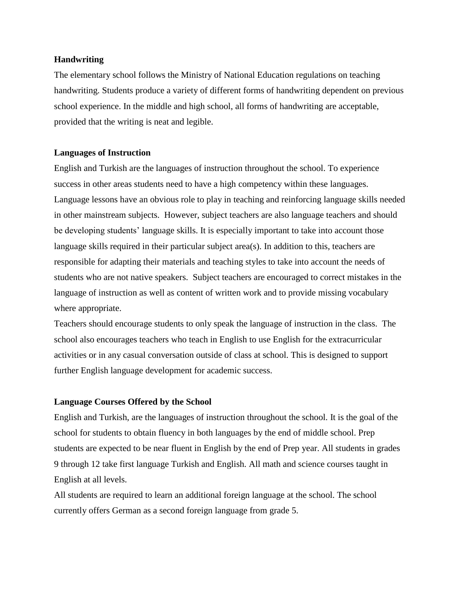### **Handwriting**

The elementary school follows the Ministry of National Education regulations on teaching handwriting. Students produce a variety of different forms of handwriting dependent on previous school experience. In the middle and high school, all forms of handwriting are acceptable, provided that the writing is neat and legible.

### **Languages of Instruction**

English and Turkish are the languages of instruction throughout the school. To experience success in other areas students need to have a high competency within these languages. Language lessons have an obvious role to play in teaching and reinforcing language skills needed in other mainstream subjects. However, subject teachers are also language teachers and should be developing students' language skills. It is especially important to take into account those language skills required in their particular subject area(s). In addition to this, teachers are responsible for adapting their materials and teaching styles to take into account the needs of students who are not native speakers. Subject teachers are encouraged to correct mistakes in the language of instruction as well as content of written work and to provide missing vocabulary where appropriate.

Teachers should encourage students to only speak the language of instruction in the class. The school also encourages teachers who teach in English to use English for the extracurricular activities or in any casual conversation outside of class at school. This is designed to support further English language development for academic success.

## **Language Courses Offered by the School**

English and Turkish, are the languages of instruction throughout the school. It is the goal of the school for students to obtain fluency in both languages by the end of middle school. Prep students are expected to be near fluent in English by the end of Prep year. All students in grades 9 through 12 take first language Turkish and English. All math and science courses taught in English at all levels.

All students are required to learn an additional foreign language at the school. The school currently offers German as a second foreign language from grade 5.